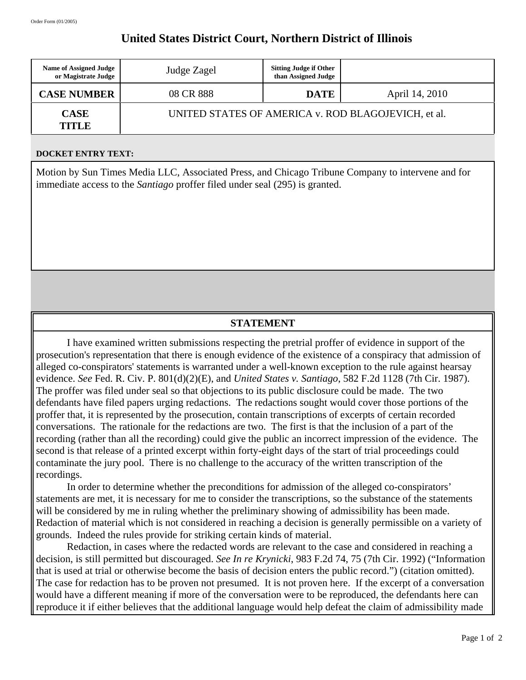## **United States District Court, Northern District of Illinois**

| <b>Name of Assigned Judge</b><br>or Magistrate Judge | Judge Zagel                                         | <b>Sitting Judge if Other</b><br>than Assigned Judge |                |
|------------------------------------------------------|-----------------------------------------------------|------------------------------------------------------|----------------|
| <b>CASE NUMBER</b>                                   | 08 CR 888                                           | <b>DATE</b>                                          | April 14, 2010 |
| <b>CASE</b><br>TITLE                                 | UNITED STATES OF AMERICA v. ROD BLAGOJEVICH, et al. |                                                      |                |

## **DOCKET ENTRY TEXT:**

Motion by Sun Times Media LLC, Associated Press, and Chicago Tribune Company to intervene and for immediate access to the *Santiago* proffer filed under seal (295) is granted.

## **STATEMENT**

I have examined written submissions respecting the pretrial proffer of evidence in support of the prosecution's representation that there is enough evidence of the existence of a conspiracy that admission of alleged co-conspirators' statements is warranted under a well-known exception to the rule against hearsay evidence. *See* Fed. R. Civ. P. 801(d)(2)(E), and *United States v. Santiago*, 582 F.2d 1128 (7th Cir. 1987). The proffer was filed under seal so that objections to its public disclosure could be made. The two defendants have filed papers urging redactions. The redactions sought would cover those portions of the proffer that, it is represented by the prosecution, contain transcriptions of excerpts of certain recorded conversations. The rationale for the redactions are two. The first is that the inclusion of a part of the recording (rather than all the recording) could give the public an incorrect impression of the evidence. The second is that release of a printed excerpt within forty-eight days of the start of trial proceedings could contaminate the jury pool. There is no challenge to the accuracy of the written transcription of the recordings.

In order to determine whether the preconditions for admission of the alleged co-conspirators' statements are met, it is necessary for me to consider the transcriptions, so the substance of the statements will be considered by me in ruling whether the preliminary showing of admissibility has been made. Redaction of material which is not considered in reaching a decision is generally permissible on a variety of grounds. Indeed the rules provide for striking certain kinds of material.

Redaction, in cases where the redacted words are relevant to the case and considered in reaching a decision, is still permitted but discouraged. *See In re Krynicki*, 983 F.2d 74, 75 (7th Cir. 1992) ("Information that is used at trial or otherwise become the basis of decision enters the public record.") (citation omitted). The case for redaction has to be proven not presumed. It is not proven here. If the excerpt of a conversation would have a different meaning if more of the conversation were to be reproduced, the defendants here can reproduce it if either believes that the additional language would help defeat the claim of admissibility made